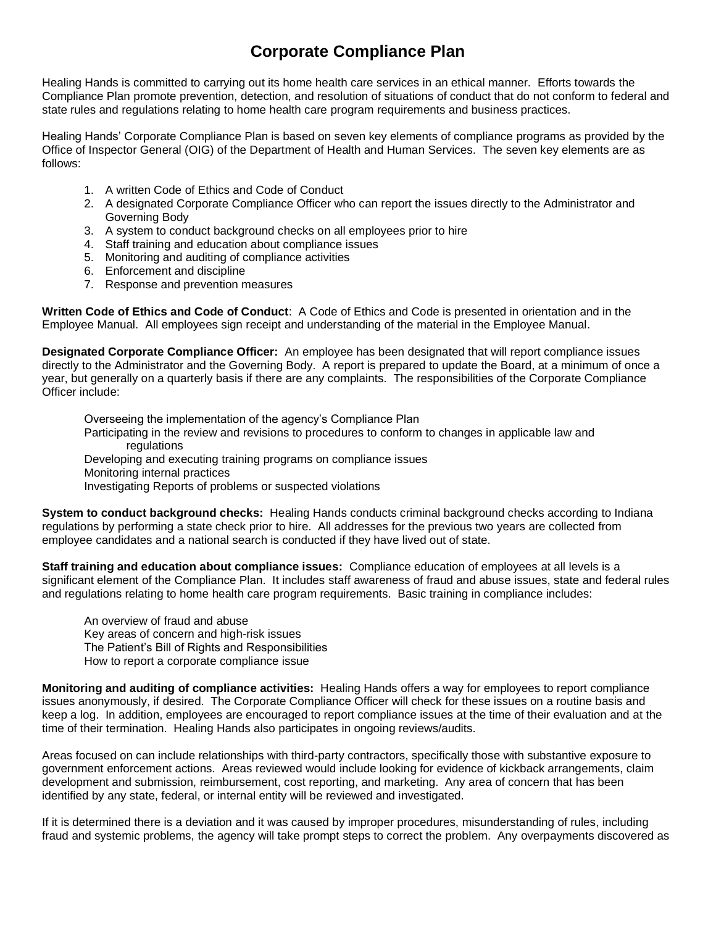## **Corporate Compliance Plan**

Healing Hands is committed to carrying out its home health care services in an ethical manner. Efforts towards the Compliance Plan promote prevention, detection, and resolution of situations of conduct that do not conform to federal and state rules and regulations relating to home health care program requirements and business practices.

Healing Hands' Corporate Compliance Plan is based on seven key elements of compliance programs as provided by the Office of Inspector General (OIG) of the Department of Health and Human Services. The seven key elements are as follows:

- 1. A written Code of Ethics and Code of Conduct
- 2. A designated Corporate Compliance Officer who can report the issues directly to the Administrator and Governing Body
- 3. A system to conduct background checks on all employees prior to hire
- 4. Staff training and education about compliance issues
- 5. Monitoring and auditing of compliance activities
- 6. Enforcement and discipline
- 7. Response and prevention measures

**Written Code of Ethics and Code of Conduct**: A Code of Ethics and Code is presented in orientation and in the Employee Manual. All employees sign receipt and understanding of the material in the Employee Manual.

**Designated Corporate Compliance Officer:** An employee has been designated that will report compliance issues directly to the Administrator and the Governing Body. A report is prepared to update the Board, at a minimum of once a year, but generally on a quarterly basis if there are any complaints. The responsibilities of the Corporate Compliance Officer include:

Overseeing the implementation of the agency's Compliance Plan Participating in the review and revisions to procedures to conform to changes in applicable law and regulations Developing and executing training programs on compliance issues Monitoring internal practices

Investigating Reports of problems or suspected violations

**System to conduct background checks:** Healing Hands conducts criminal background checks according to Indiana regulations by performing a state check prior to hire. All addresses for the previous two years are collected from employee candidates and a national search is conducted if they have lived out of state.

**Staff training and education about compliance issues:** Compliance education of employees at all levels is a significant element of the Compliance Plan. It includes staff awareness of fraud and abuse issues, state and federal rules and regulations relating to home health care program requirements. Basic training in compliance includes:

An overview of fraud and abuse Key areas of concern and high-risk issues The Patient's Bill of Rights and Responsibilities How to report a corporate compliance issue

**Monitoring and auditing of compliance activities:** Healing Hands offers a way for employees to report compliance issues anonymously, if desired. The Corporate Compliance Officer will check for these issues on a routine basis and keep a log. In addition, employees are encouraged to report compliance issues at the time of their evaluation and at the time of their termination. Healing Hands also participates in ongoing reviews/audits.

Areas focused on can include relationships with third-party contractors, specifically those with substantive exposure to government enforcement actions. Areas reviewed would include looking for evidence of kickback arrangements, claim development and submission, reimbursement, cost reporting, and marketing. Any area of concern that has been identified by any state, federal, or internal entity will be reviewed and investigated.

If it is determined there is a deviation and it was caused by improper procedures, misunderstanding of rules, including fraud and systemic problems, the agency will take prompt steps to correct the problem. Any overpayments discovered as